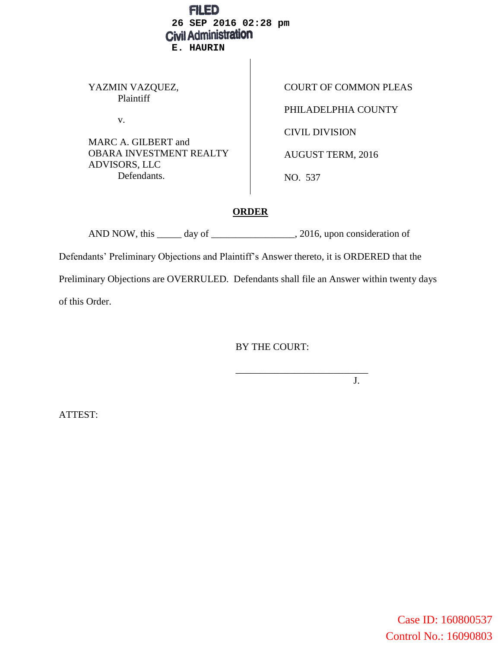| FILED<br>26 SEP 2016 02:28 pm<br><b>Civil Administration</b><br><b>E. HAURIN</b>                                                   |                                                                                                              |
|------------------------------------------------------------------------------------------------------------------------------------|--------------------------------------------------------------------------------------------------------------|
| YAZMIN VAZQUEZ,<br>Plaintiff<br>V.<br>MARC A. GILBERT and<br><b>OBARA INVESTMENT REALTY</b><br><b>ADVISORS, LLC</b><br>Defendants. | <b>COURT OF COMMON PLEAS</b><br>PHILADELPHIA COUNTY<br>CIVIL DIVISION<br><b>AUGUST TERM, 2016</b><br>NO. 537 |

# **ORDER**

AND NOW, this \_\_\_\_\_ day of \_\_\_\_\_\_\_\_\_\_\_\_\_\_\_\_, 2016, upon consideration of Defendants' Preliminary Objections and Plaintiff's Answer thereto, it is ORDERED that the Preliminary Objections are OVERRULED. Defendants shall file an Answer within twenty days of this Order.

BY THE COURT:

\_\_\_\_\_\_\_\_\_\_\_\_\_\_\_\_\_\_\_\_\_\_\_\_\_\_\_

J.

ATTEST: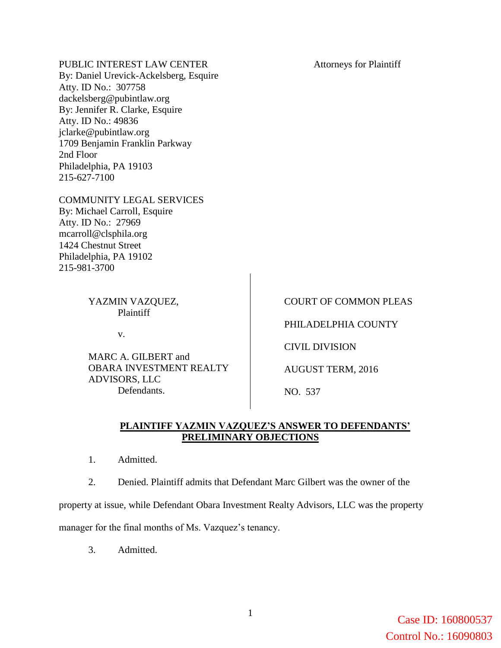## PUBLIC INTEREST LAW CENTER

By: Daniel Urevick-Ackelsberg, Esquire Atty. ID No.: 307758 dackelsberg@pubintlaw.org By: Jennifer R. Clarke, Esquire Atty. ID No.: 49836 jclarke@pubintlaw.org 1709 Benjamin Franklin Parkway 2nd Floor Philadelphia, PA 19103 215-627-7100

### COMMUNITY LEGAL SERVICES

By: Michael Carroll, Esquire Atty. ID No.: 27969 mcarroll@clsphila.org 1424 Chestnut Street Philadelphia, PA 19102 215-981-3700

### YAZMIN VAZQUEZ, Plaintiff

v.

MARC A. GILBERT and OBARA INVESTMENT REALTY ADVISORS, LLC Defendants.

#### Attorneys for Plaintiff

COURT OF COMMON PLEAS

PHILADELPHIA COUNTY

CIVIL DIVISION

AUGUST TERM, 2016

NO. 537

## **PLAINTIFF YAZMIN VAZQUEZ'S ANSWER TO DEFENDANTS' PRELIMINARY OBJECTIONS**

- 1. Admitted.
- 2. Denied. Plaintiff admits that Defendant Marc Gilbert was the owner of the

property at issue, while Defendant Obara Investment Realty Advisors, LLC was the property

manager for the final months of Ms. Vazquez's tenancy.

3. Admitted.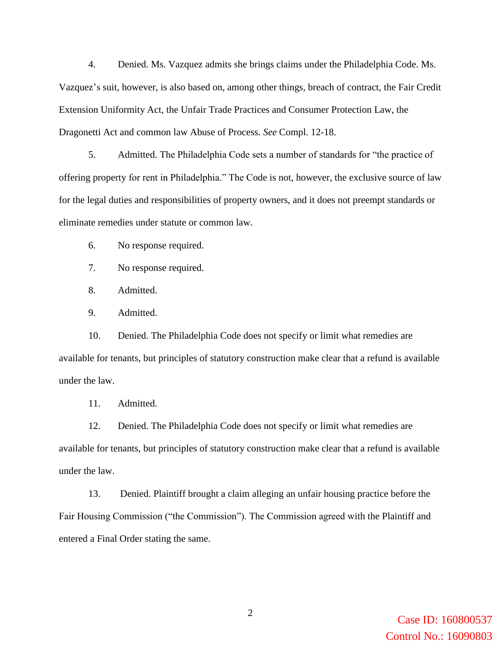4. Denied. Ms. Vazquez admits she brings claims under the Philadelphia Code. Ms. Vazquez's suit, however, is also based on, among other things, breach of contract, the Fair Credit Extension Uniformity Act, the Unfair Trade Practices and Consumer Protection Law, the Dragonetti Act and common law Abuse of Process. *See* Compl. 12-18.

5. Admitted. The Philadelphia Code sets a number of standards for "the practice of offering property for rent in Philadelphia." The Code is not, however, the exclusive source of law for the legal duties and responsibilities of property owners, and it does not preempt standards or eliminate remedies under statute or common law.

6. No response required.

7. No response required.

8. Admitted.

9. Admitted.

10. Denied. The Philadelphia Code does not specify or limit what remedies are available for tenants, but principles of statutory construction make clear that a refund is available under the law.

11. Admitted.

12. Denied. The Philadelphia Code does not specify or limit what remedies are available for tenants, but principles of statutory construction make clear that a refund is available under the law.

13. Denied. Plaintiff brought a claim alleging an unfair housing practice before the Fair Housing Commission ("the Commission"). The Commission agreed with the Plaintiff and entered a Final Order stating the same.

> Case ID: 160800537 Control No.: 16090803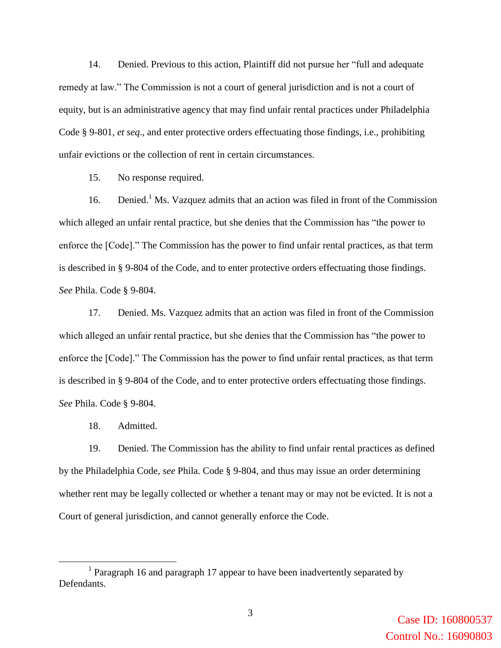14. Denied. Previous to this action, Plaintiff did not pursue her "full and adequate remedy at law." The Commission is not a court of general jurisdiction and is not a court of equity, but is an administrative agency that may find unfair rental practices under Philadelphia Code § 9-801, *et seq*., and enter protective orders effectuating those findings, i.e., prohibiting unfair evictions or the collection of rent in certain circumstances.

15. No response required.

16. Denied.<sup>1</sup> Ms. Vazquez admits that an action was filed in front of the Commission which alleged an unfair rental practice, but she denies that the Commission has "the power to enforce the [Code]." The Commission has the power to find unfair rental practices, as that term is described in § 9-804 of the Code, and to enter protective orders effectuating those findings. *See* Phila. Code § 9-804.

17. Denied. Ms. Vazquez admits that an action was filed in front of the Commission which alleged an unfair rental practice, but she denies that the Commission has "the power to enforce the [Code]." The Commission has the power to find unfair rental practices, as that term is described in § 9-804 of the Code, and to enter protective orders effectuating those findings. *See* Phila. Code § 9-804.

18. Admitted.

 $\overline{a}$ 

19. Denied. The Commission has the ability to find unfair rental practices as defined by the Philadelphia Code, *see* Phila. Code § 9-804, and thus may issue an order determining whether rent may be legally collected or whether a tenant may or may not be evicted. It is not a Court of general jurisdiction, and cannot generally enforce the Code.

<sup>&</sup>lt;sup>1</sup> Paragraph 16 and paragraph 17 appear to have been inadvertently separated by Defendants.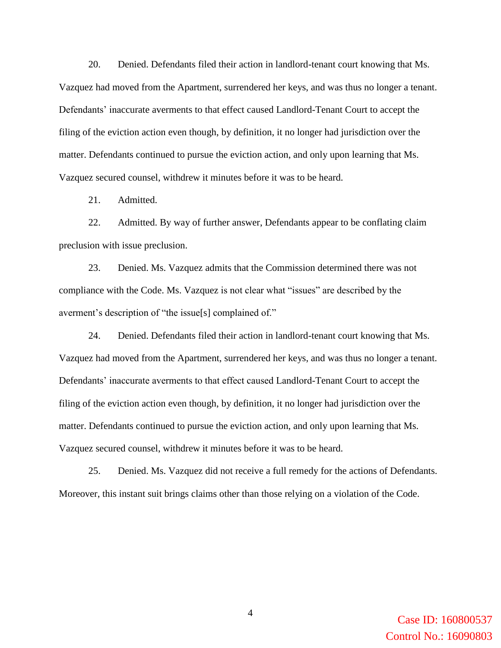20. Denied. Defendants filed their action in landlord-tenant court knowing that Ms. Vazquez had moved from the Apartment, surrendered her keys, and was thus no longer a tenant. Defendants' inaccurate averments to that effect caused Landlord-Tenant Court to accept the filing of the eviction action even though, by definition, it no longer had jurisdiction over the matter. Defendants continued to pursue the eviction action, and only upon learning that Ms. Vazquez secured counsel, withdrew it minutes before it was to be heard.

21. Admitted.

22. Admitted. By way of further answer, Defendants appear to be conflating claim preclusion with issue preclusion.

23. Denied. Ms. Vazquez admits that the Commission determined there was not compliance with the Code. Ms. Vazquez is not clear what "issues" are described by the averment's description of "the issue[s] complained of."

24. Denied. Defendants filed their action in landlord-tenant court knowing that Ms. Vazquez had moved from the Apartment, surrendered her keys, and was thus no longer a tenant. Defendants' inaccurate averments to that effect caused Landlord-Tenant Court to accept the filing of the eviction action even though, by definition, it no longer had jurisdiction over the matter. Defendants continued to pursue the eviction action, and only upon learning that Ms. Vazquez secured counsel, withdrew it minutes before it was to be heard.

25. Denied. Ms. Vazquez did not receive a full remedy for the actions of Defendants. Moreover, this instant suit brings claims other than those relying on a violation of the Code.

> Case ID: 160800537 Control No.: 16090803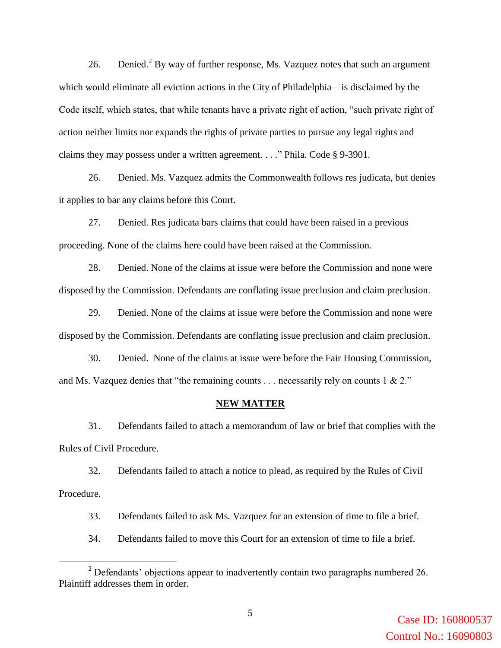26. Denied.<sup>2</sup> By way of further response, Ms. Vazquez notes that such an argument which would eliminate all eviction actions in the City of Philadelphia—is disclaimed by the Code itself, which states, that while tenants have a private right of action, "such private right of action neither limits nor expands the rights of private parties to pursue any legal rights and claims they may possess under a written agreement. . . ." Phila. Code § 9-3901.

26. Denied. Ms. Vazquez admits the Commonwealth follows res judicata, but denies it applies to bar any claims before this Court.

27. Denied. Res judicata bars claims that could have been raised in a previous proceeding. None of the claims here could have been raised at the Commission.

28. Denied. None of the claims at issue were before the Commission and none were disposed by the Commission. Defendants are conflating issue preclusion and claim preclusion.

29. Denied. None of the claims at issue were before the Commission and none were disposed by the Commission. Defendants are conflating issue preclusion and claim preclusion.

30. Denied. None of the claims at issue were before the Fair Housing Commission, and Ms. Vazquez denies that "the remaining counts . . . necessarily rely on counts 1 & 2."

#### **NEW MATTER**

31. Defendants failed to attach a memorandum of law or brief that complies with the Rules of Civil Procedure.

32. Defendants failed to attach a notice to plead, as required by the Rules of Civil Procedure.

33. Defendants failed to ask Ms. Vazquez for an extension of time to file a brief.

34. Defendants failed to move this Court for an extension of time to file a brief.

 $\overline{a}$ 

<sup>&</sup>lt;sup>2</sup> Defendants' objections appear to inadvertently contain two paragraphs numbered 26. Plaintiff addresses them in order.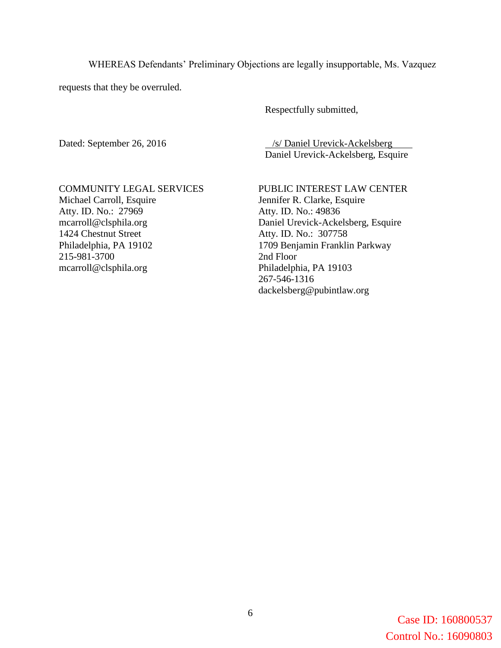WHEREAS Defendants' Preliminary Objections are legally insupportable, Ms. Vazquez

requests that they be overruled.

Respectfully submitted,

Dated: September 26, 2016 /s/ Daniel Urevick-Ackelsberg Daniel Urevick-Ackelsberg, Esquire

COMMUNITY LEGAL SERVICES Michael Carroll, Esquire Atty. ID. No.: 27969 mcarroll@clsphila.org 1424 Chestnut Street Philadelphia, PA 19102 215-981-3700 mcarroll@clsphila.org

PUBLIC INTEREST LAW CENTER Jennifer R. Clarke, Esquire Atty. ID. No.: 49836 Daniel Urevick-Ackelsberg, Esquire Atty. ID. No.: 307758 1709 Benjamin Franklin Parkway 2nd Floor Philadelphia, PA 19103 267-546-1316 dackelsberg@pubintlaw.org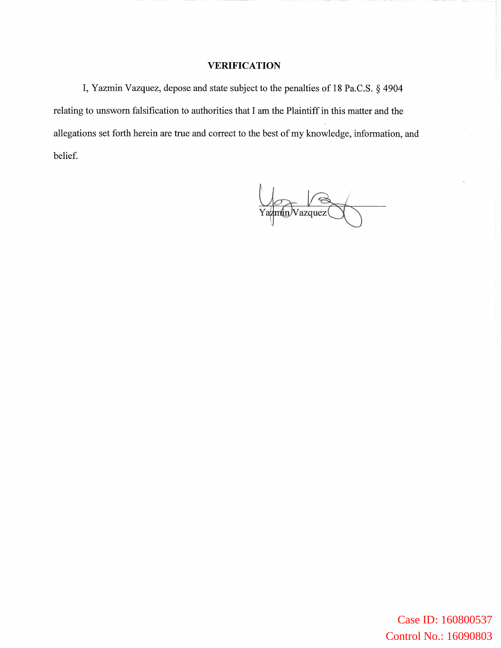### **VERIFICATION**

I, Yazmin Vazquez, depose and state subject to the penalties of 18 Pa.C.S. § 4904 relating to unsworn falsification to authorities that I am the Plaintiff in this matter and the allegations set forth herein are true and correct to the best of my knowledge, information, and belief.

Ya<del>zmin</del>/Vazquez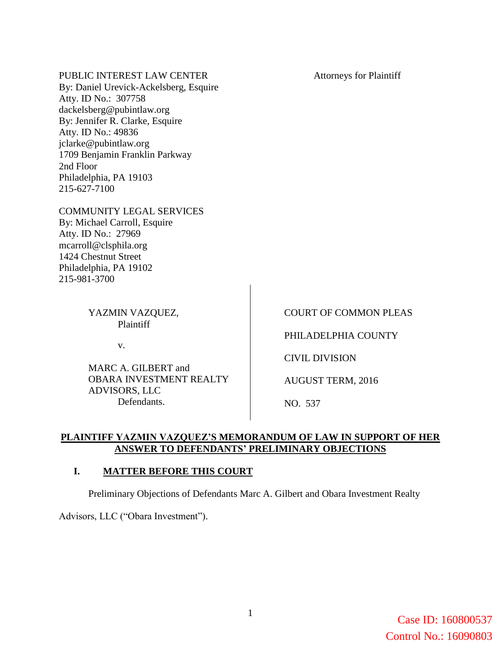PUBLIC INTEREST LAW CENTER By: Daniel Urevick-Ackelsberg, Esquire Atty. ID No.: 307758 dackelsberg@pubintlaw.org By: Jennifer R. Clarke, Esquire Atty. ID No.: 49836 jclarke@pubintlaw.org 1709 Benjamin Franklin Parkway 2nd Floor Philadelphia, PA 19103 215-627-7100 COMMUNITY LEGAL SERVICES By: Michael Carroll, Esquire Atty. ID No.: 27969 mcarroll@clsphila.org 1424 Chestnut Street Philadelphia, PA 19102 215-981-3700 Attorneys for Plaintiff YAZMIN VAZQUEZ, Plaintiff v. MARC A. GILBERT and COURT OF COMMON PLEAS PHILADELPHIA COUNTY CIVIL DIVISION AUGUST TERM, 2016

OBARA INVESTMENT REALTY ADVISORS, LLC Defendants.

NO. 537

# **PLAINTIFF YAZMIN VAZQUEZ'S MEMORANDUM OF LAW IN SUPPORT OF HER ANSWER TO DEFENDANTS' PRELIMINARY OBJECTIONS**

# **I. MATTER BEFORE THIS COURT**

Preliminary Objections of Defendants Marc A. Gilbert and Obara Investment Realty

Advisors, LLC ("Obara Investment").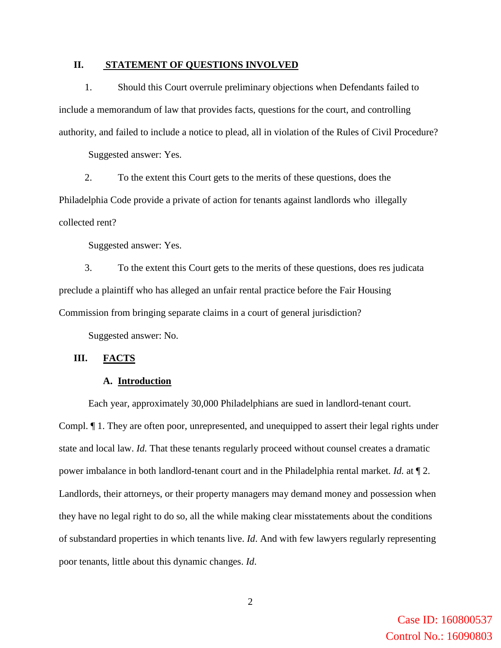### **II. STATEMENT OF QUESTIONS INVOLVED**

1. Should this Court overrule preliminary objections when Defendants failed to include a memorandum of law that provides facts, questions for the court, and controlling authority, and failed to include a notice to plead, all in violation of the Rules of Civil Procedure?

Suggested answer: Yes.

2. To the extent this Court gets to the merits of these questions, does the Philadelphia Code provide a private of action for tenants against landlords who illegally collected rent?

Suggested answer: Yes.

3. To the extent this Court gets to the merits of these questions, does res judicata preclude a plaintiff who has alleged an unfair rental practice before the Fair Housing Commission from bringing separate claims in a court of general jurisdiction?

Suggested answer: No.

#### **III. FACTS**

#### **A. Introduction**

Each year, approximately 30,000 Philadelphians are sued in landlord-tenant court. Compl. ¶ 1. They are often poor, unrepresented, and unequipped to assert their legal rights under state and local law. *Id.* That these tenants regularly proceed without counsel creates a dramatic power imbalance in both landlord-tenant court and in the Philadelphia rental market. *Id.* at ¶ 2. Landlords, their attorneys, or their property managers may demand money and possession when they have no legal right to do so, all the while making clear misstatements about the conditions of substandard properties in which tenants live. *Id*. And with few lawyers regularly representing poor tenants, little about this dynamic changes. *Id*.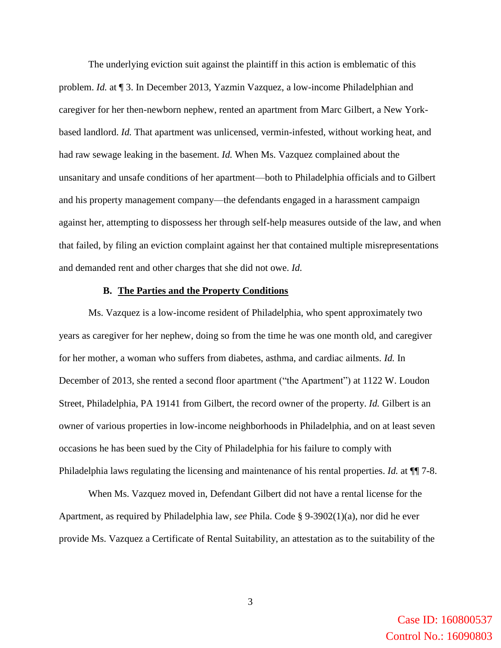The underlying eviction suit against the plaintiff in this action is emblematic of this problem. *Id.* at ¶ 3. In December 2013, Yazmin Vazquez, a low-income Philadelphian and caregiver for her then-newborn nephew, rented an apartment from Marc Gilbert, a New Yorkbased landlord. *Id.* That apartment was unlicensed, vermin-infested, without working heat, and had raw sewage leaking in the basement. *Id.* When Ms. Vazquez complained about the unsanitary and unsafe conditions of her apartment—both to Philadelphia officials and to Gilbert and his property management company—the defendants engaged in a harassment campaign against her, attempting to dispossess her through self-help measures outside of the law, and when that failed, by filing an eviction complaint against her that contained multiple misrepresentations and demanded rent and other charges that she did not owe. *Id.*

### **B. The Parties and the Property Conditions**

Ms. Vazquez is a low-income resident of Philadelphia, who spent approximately two years as caregiver for her nephew, doing so from the time he was one month old, and caregiver for her mother, a woman who suffers from diabetes, asthma, and cardiac ailments. *Id.* In December of 2013, she rented a second floor apartment ("the Apartment") at 1122 W. Loudon Street, Philadelphia, PA 19141 from Gilbert, the record owner of the property. *Id.* Gilbert is an owner of various properties in low-income neighborhoods in Philadelphia, and on at least seven occasions he has been sued by the City of Philadelphia for his failure to comply with Philadelphia laws regulating the licensing and maintenance of his rental properties. *Id.* at ¶¶ 7-8.

When Ms. Vazquez moved in, Defendant Gilbert did not have a rental license for the Apartment, as required by Philadelphia law, *see* Phila. Code § 9-3902(1)(a), nor did he ever provide Ms. Vazquez a Certificate of Rental Suitability, an attestation as to the suitability of the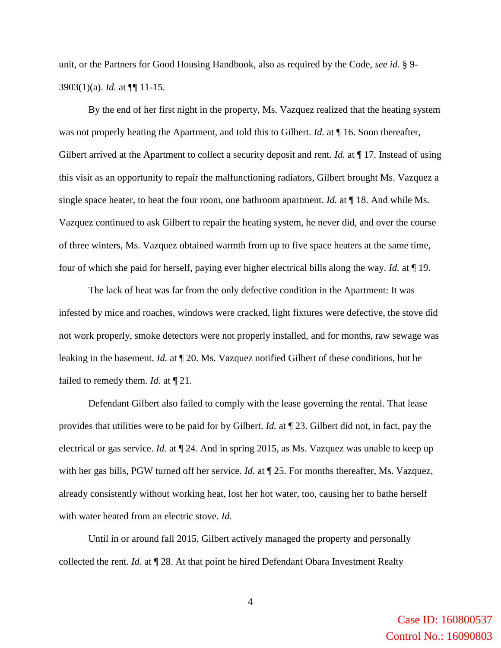unit, or the Partners for Good Housing Handbook, also as required by the Code, *see id.* § 9- 3903(1)(a). *Id.* at ¶¶ 11-15.

By the end of her first night in the property, Ms. Vazquez realized that the heating system was not properly heating the Apartment, and told this to Gilbert. *Id.* at ¶ 16. Soon thereafter, Gilbert arrived at the Apartment to collect a security deposit and rent. *Id.* at ¶ 17. Instead of using this visit as an opportunity to repair the malfunctioning radiators, Gilbert brought Ms. Vazquez a single space heater, to heat the four room, one bathroom apartment. *Id.* at ¶ 18. And while Ms. Vazquez continued to ask Gilbert to repair the heating system, he never did, and over the course of three winters, Ms. Vazquez obtained warmth from up to five space heaters at the same time, four of which she paid for herself, paying ever higher electrical bills along the way. *Id.* at ¶ 19.

The lack of heat was far from the only defective condition in the Apartment: It was infested by mice and roaches, windows were cracked, light fixtures were defective, the stove did not work properly, smoke detectors were not properly installed, and for months, raw sewage was leaking in the basement. *Id.* at ¶ 20. Ms. Vazquez notified Gilbert of these conditions, but he failed to remedy them. *Id.* at ¶ 21.

Defendant Gilbert also failed to comply with the lease governing the rental. That lease provides that utilities were to be paid for by Gilbert. *Id.* at ¶ 23. Gilbert did not, in fact, pay the electrical or gas service. *Id.* at ¶ 24. And in spring 2015, as Ms. Vazquez was unable to keep up with her gas bills, PGW turned off her service. *Id.* at  $\P$  25. For months thereafter, Ms. Vazquez, already consistently without working heat, lost her hot water, too, causing her to bathe herself with water heated from an electric stove. *Id.*

Until in or around fall 2015, Gilbert actively managed the property and personally collected the rent. *Id.* at ¶ 28. At that point he hired Defendant Obara Investment Realty

> Case ID: 160800537 Control No.: 16090803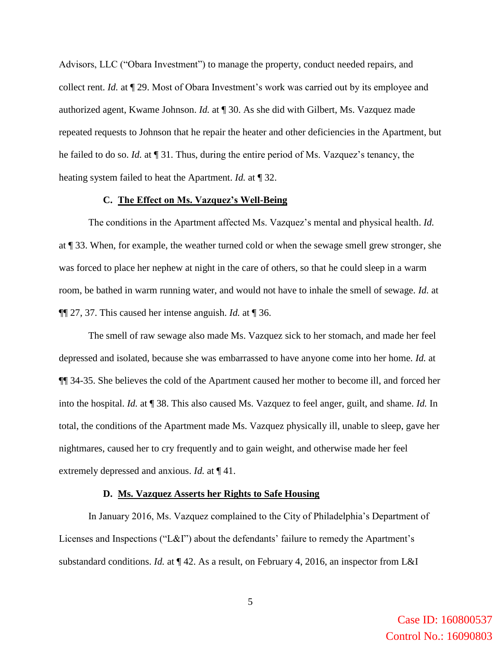Advisors, LLC ("Obara Investment") to manage the property, conduct needed repairs, and collect rent. *Id.* at ¶ 29. Most of Obara Investment's work was carried out by its employee and authorized agent, Kwame Johnson. *Id.* at ¶ 30. As she did with Gilbert, Ms. Vazquez made repeated requests to Johnson that he repair the heater and other deficiencies in the Apartment, but he failed to do so. *Id.* at ¶ 31. Thus, during the entire period of Ms. Vazquez's tenancy, the heating system failed to heat the Apartment. *Id.* at ¶ 32.

#### **C. The Effect on Ms. Vazquez's Well-Being**

The conditions in the Apartment affected Ms. Vazquez's mental and physical health. *Id.* at ¶ 33. When, for example, the weather turned cold or when the sewage smell grew stronger, she was forced to place her nephew at night in the care of others, so that he could sleep in a warm room, be bathed in warm running water, and would not have to inhale the smell of sewage. *Id.* at ¶¶ 27, 37. This caused her intense anguish. *Id.* at ¶ 36.

The smell of raw sewage also made Ms. Vazquez sick to her stomach, and made her feel depressed and isolated, because she was embarrassed to have anyone come into her home. *Id.* at ¶¶ 34-35. She believes the cold of the Apartment caused her mother to become ill, and forced her into the hospital. *Id.* at ¶ 38. This also caused Ms. Vazquez to feel anger, guilt, and shame. *Id.* In total, the conditions of the Apartment made Ms. Vazquez physically ill, unable to sleep, gave her nightmares, caused her to cry frequently and to gain weight, and otherwise made her feel extremely depressed and anxious. *Id.* at ¶ 41.

#### **D. Ms. Vazquez Asserts her Rights to Safe Housing**

In January 2016, Ms. Vazquez complained to the City of Philadelphia's Department of Licenses and Inspections ("L&I") about the defendants' failure to remedy the Apartment's substandard conditions. *Id.* at ¶ 42. As a result, on February 4, 2016, an inspector from L&I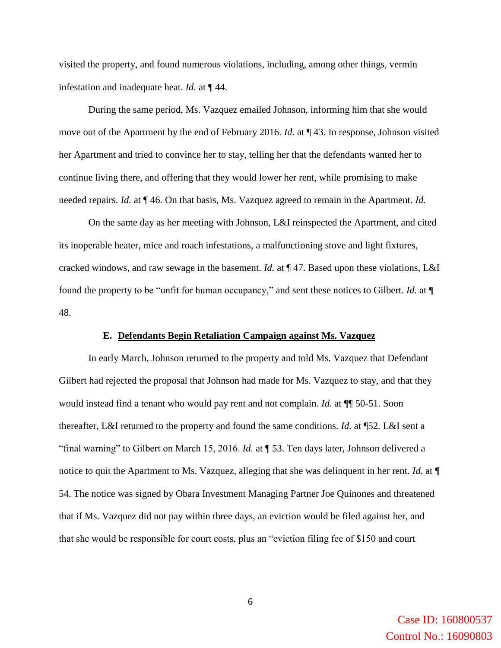visited the property, and found numerous violations, including, among other things, vermin infestation and inadequate heat. *Id.* at ¶ 44.

During the same period, Ms. Vazquez emailed Johnson, informing him that she would move out of the Apartment by the end of February 2016. *Id.* at ¶ 43. In response, Johnson visited her Apartment and tried to convince her to stay, telling her that the defendants wanted her to continue living there, and offering that they would lower her rent, while promising to make needed repairs. *Id.* at ¶ 46. On that basis, Ms. Vazquez agreed to remain in the Apartment. *Id.*

On the same day as her meeting with Johnson, L&I reinspected the Apartment, and cited its inoperable heater, mice and roach infestations, a malfunctioning stove and light fixtures, cracked windows, and raw sewage in the basement. *Id.* at ¶ 47. Based upon these violations, L&I found the property to be "unfit for human occupancy," and sent these notices to Gilbert. *Id.* at ¶ 48.

### **E. Defendants Begin Retaliation Campaign against Ms. Vazquez**

In early March, Johnson returned to the property and told Ms. Vazquez that Defendant Gilbert had rejected the proposal that Johnson had made for Ms. Vazquez to stay, and that they would instead find a tenant who would pay rent and not complain. *Id.* at ¶¶ 50-51. Soon thereafter, L&I returned to the property and found the same conditions. *Id.* at ¶52. L&I sent a "final warning" to Gilbert on March 15, 2016. *Id.* at ¶ 53. Ten days later, Johnson delivered a notice to quit the Apartment to Ms. Vazquez, alleging that she was delinquent in her rent. *Id.* at  $\P$ 54. The notice was signed by Obara Investment Managing Partner Joe Quinones and threatened that if Ms. Vazquez did not pay within three days, an eviction would be filed against her, and that she would be responsible for court costs, plus an "eviction filing fee of \$150 and court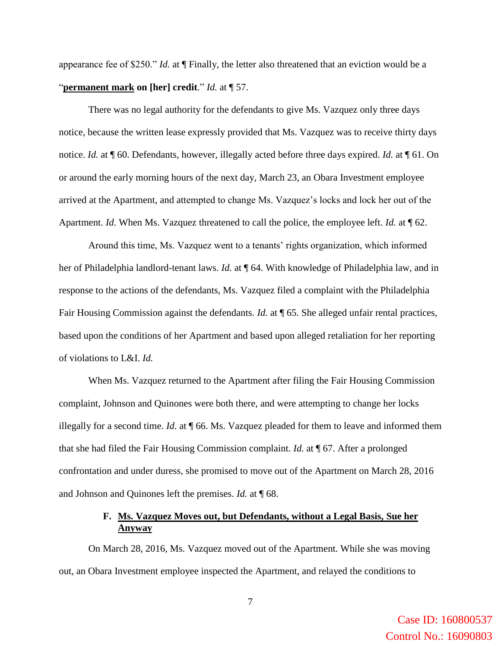appearance fee of \$250." *Id.* at ¶ Finally, the letter also threatened that an eviction would be a "**permanent mark on [her] credit**." *Id.* at ¶ 57.

There was no legal authority for the defendants to give Ms. Vazquez only three days notice, because the written lease expressly provided that Ms. Vazquez was to receive thirty days notice. *Id.* at ¶ 60. Defendants, however, illegally acted before three days expired. *Id.* at ¶ 61. On or around the early morning hours of the next day, March 23, an Obara Investment employee arrived at the Apartment, and attempted to change Ms. Vazquez's locks and lock her out of the Apartment. *Id*. When Ms. Vazquez threatened to call the police, the employee left. *Id.* at ¶ 62.

Around this time, Ms. Vazquez went to a tenants' rights organization, which informed her of Philadelphia landlord-tenant laws. *Id.* at ¶ 64. With knowledge of Philadelphia law, and in response to the actions of the defendants, Ms. Vazquez filed a complaint with the Philadelphia Fair Housing Commission against the defendants. *Id.* at  $\P$  65. She alleged unfair rental practices, based upon the conditions of her Apartment and based upon alleged retaliation for her reporting of violations to L&I. *Id.*

When Ms. Vazquez returned to the Apartment after filing the Fair Housing Commission complaint, Johnson and Quinones were both there, and were attempting to change her locks illegally for a second time. *Id.* at ¶ 66. Ms. Vazquez pleaded for them to leave and informed them that she had filed the Fair Housing Commission complaint. *Id.* at ¶ 67. After a prolonged confrontation and under duress, she promised to move out of the Apartment on March 28, 2016 and Johnson and Quinones left the premises. *Id.* at ¶ 68.

## **F. Ms. Vazquez Moves out, but Defendants, without a Legal Basis, Sue her Anyway**

On March 28, 2016, Ms. Vazquez moved out of the Apartment. While she was moving out, an Obara Investment employee inspected the Apartment, and relayed the conditions to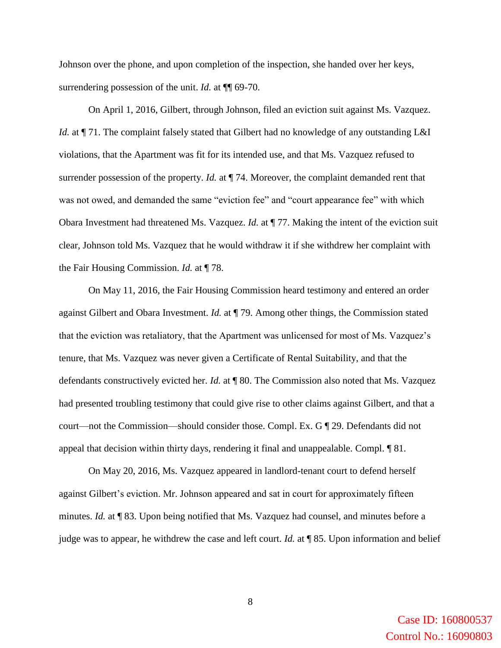Johnson over the phone, and upon completion of the inspection, she handed over her keys, surrendering possession of the unit. *Id.* at  $\P$  69-70.

On April 1, 2016, Gilbert, through Johnson, filed an eviction suit against Ms. Vazquez. *Id.* at  $\P$  71. The complaint falsely stated that Gilbert had no knowledge of any outstanding L&I violations, that the Apartment was fit for its intended use, and that Ms. Vazquez refused to surrender possession of the property. *Id.* at  $\P$  74. Moreover, the complaint demanded rent that was not owed, and demanded the same "eviction fee" and "court appearance fee" with which Obara Investment had threatened Ms. Vazquez. *Id.* at ¶ 77. Making the intent of the eviction suit clear, Johnson told Ms. Vazquez that he would withdraw it if she withdrew her complaint with the Fair Housing Commission. *Id.* at ¶ 78.

On May 11, 2016, the Fair Housing Commission heard testimony and entered an order against Gilbert and Obara Investment. *Id.* at ¶ 79. Among other things, the Commission stated that the eviction was retaliatory, that the Apartment was unlicensed for most of Ms. Vazquez's tenure, that Ms. Vazquez was never given a Certificate of Rental Suitability, and that the defendants constructively evicted her. *Id.* at ¶ 80. The Commission also noted that Ms. Vazquez had presented troubling testimony that could give rise to other claims against Gilbert, and that a court—not the Commission—should consider those. Compl. Ex. G ¶ 29. Defendants did not appeal that decision within thirty days, rendering it final and unappealable. Compl. ¶ 81.

On May 20, 2016, Ms. Vazquez appeared in landlord-tenant court to defend herself against Gilbert's eviction. Mr. Johnson appeared and sat in court for approximately fifteen minutes. *Id.* at ¶ 83. Upon being notified that Ms. Vazquez had counsel, and minutes before a judge was to appear, he withdrew the case and left court. *Id.* at ¶ 85. Upon information and belief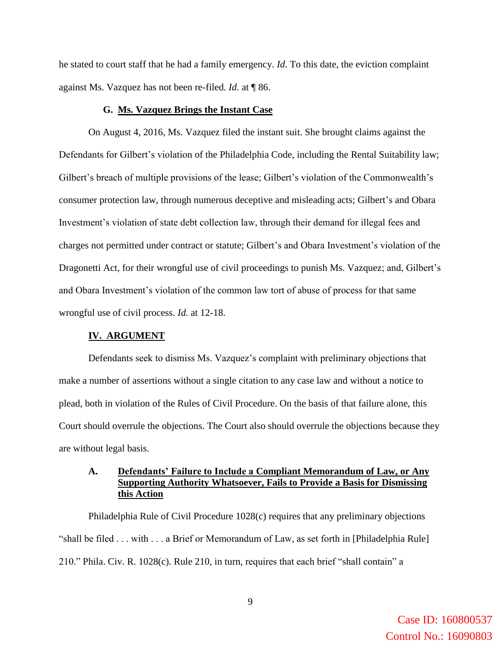he stated to court staff that he had a family emergency. *Id*. To this date, the eviction complaint against Ms. Vazquez has not been re-filed. *Id.* at ¶ 86.

### **G. Ms. Vazquez Brings the Instant Case**

On August 4, 2016, Ms. Vazquez filed the instant suit. She brought claims against the Defendants for Gilbert's violation of the Philadelphia Code, including the Rental Suitability law; Gilbert's breach of multiple provisions of the lease; Gilbert's violation of the Commonwealth's consumer protection law, through numerous deceptive and misleading acts; Gilbert's and Obara Investment's violation of state debt collection law, through their demand for illegal fees and charges not permitted under contract or statute; Gilbert's and Obara Investment's violation of the Dragonetti Act, for their wrongful use of civil proceedings to punish Ms. Vazquez; and, Gilbert's and Obara Investment's violation of the common law tort of abuse of process for that same wrongful use of civil process. *Id.* at 12-18.

#### **IV. ARGUMENT**

Defendants seek to dismiss Ms. Vazquez's complaint with preliminary objections that make a number of assertions without a single citation to any case law and without a notice to plead, both in violation of the Rules of Civil Procedure. On the basis of that failure alone, this Court should overrule the objections. The Court also should overrule the objections because they are without legal basis.

## **A. Defendants' Failure to Include a Compliant Memorandum of Law, or Any Supporting Authority Whatsoever, Fails to Provide a Basis for Dismissing this Action**

Philadelphia Rule of Civil Procedure 1028(c) requires that any preliminary objections "shall be filed . . . with . . . a Brief or Memorandum of Law, as set forth in [Philadelphia Rule] 210." Phila. Civ. R. 1028(c). Rule 210, in turn, requires that each brief "shall contain" a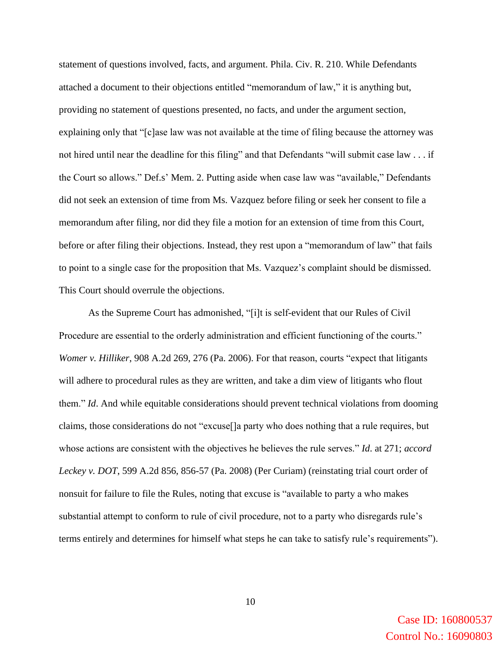statement of questions involved, facts, and argument. Phila. Civ. R. 210. While Defendants attached a document to their objections entitled "memorandum of law," it is anything but, providing no statement of questions presented, no facts, and under the argument section, explaining only that "[c]ase law was not available at the time of filing because the attorney was not hired until near the deadline for this filing" and that Defendants "will submit case law . . . if the Court so allows." Def.s' Mem. 2. Putting aside when case law was "available," Defendants did not seek an extension of time from Ms. Vazquez before filing or seek her consent to file a memorandum after filing, nor did they file a motion for an extension of time from this Court, before or after filing their objections. Instead, they rest upon a "memorandum of law" that fails to point to a single case for the proposition that Ms. Vazquez's complaint should be dismissed. This Court should overrule the objections.

As the Supreme Court has admonished, "[i]t is self-evident that our Rules of Civil Procedure are essential to the orderly administration and efficient functioning of the courts." *Womer v. Hilliker*, 908 A.2d 269, 276 (Pa. 2006). For that reason, courts "expect that litigants will adhere to procedural rules as they are written, and take a dim view of litigants who flout them." *Id*. And while equitable considerations should prevent technical violations from dooming claims, those considerations do not "excuse[]a party who does nothing that a rule requires, but whose actions are consistent with the objectives he believes the rule serves." *Id*. at 271; *accord Leckey v. DOT*, 599 A.2d 856, 856-57 (Pa. 2008) (Per Curiam) (reinstating trial court order of nonsuit for failure to file the Rules, noting that excuse is "available to party a who makes substantial attempt to conform to rule of civil procedure, not to a party who disregards rule's terms entirely and determines for himself what steps he can take to satisfy rule's requirements").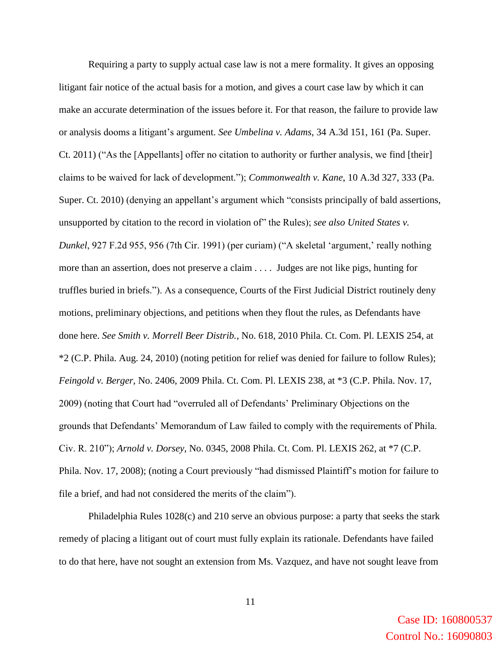Requiring a party to supply actual case law is not a mere formality. It gives an opposing litigant fair notice of the actual basis for a motion, and gives a court case law by which it can make an accurate determination of the issues before it. For that reason, the failure to provide law or analysis dooms a litigant's argument. *See Umbelina v. Adams*, 34 A.3d 151, 161 (Pa. Super. Ct. 2011) ("As the [Appellants] offer no citation to authority or further analysis, we find [their] claims to be waived for lack of development."); *Commonwealth v. Kane*, 10 A.3d 327, 333 (Pa. Super. Ct. 2010) (denying an appellant's argument which "consists principally of bald assertions, unsupported by citation to the record in violation of" the Rules); *see also United States v. Dunkel*, 927 F.2d 955, 956 (7th Cir. 1991) (per curiam) ("A skeletal 'argument,' really nothing more than an assertion, does not preserve a claim . . . . Judges are not like pigs, hunting for truffles buried in briefs."). As a consequence, Courts of the First Judicial District routinely deny motions, preliminary objections, and petitions when they flout the rules, as Defendants have done here. *See Smith v. Morrell Beer Distrib.*, No. 618, 2010 Phila. Ct. Com. Pl. LEXIS 254, at \*2 (C.P. Phila. Aug. 24, 2010) (noting petition for relief was denied for failure to follow Rules); *Feingold v. Berger*, No. 2406, 2009 Phila. Ct. Com. Pl. LEXIS 238, at \*3 (C.P. Phila. Nov. 17, 2009) (noting that Court had "overruled all of Defendants' Preliminary Objections on the grounds that Defendants' Memorandum of Law failed to comply with the requirements of Phila. Civ. R. 210"); *Arnold v. Dorsey*, No. 0345, 2008 Phila. Ct. Com. Pl. LEXIS 262, at \*7 (C.P. Phila. Nov. 17, 2008); (noting a Court previously "had dismissed Plaintiff's motion for failure to file a brief, and had not considered the merits of the claim").

Philadelphia Rules 1028(c) and 210 serve an obvious purpose: a party that seeks the stark remedy of placing a litigant out of court must fully explain its rationale. Defendants have failed to do that here, have not sought an extension from Ms. Vazquez, and have not sought leave from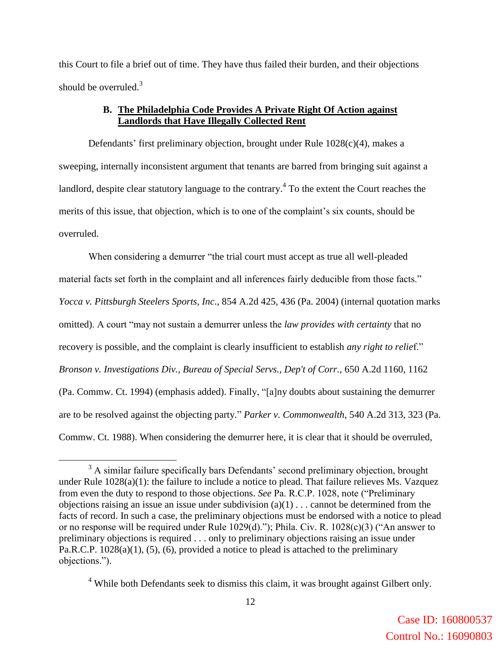this Court to file a brief out of time. They have thus failed their burden, and their objections should be overruled. $3$ 

# **B. The Philadelphia Code Provides A Private Right Of Action against Landlords that Have Illegally Collected Rent**

Defendants' first preliminary objection, brought under Rule 1028(c)(4), makes a sweeping, internally inconsistent argument that tenants are barred from bringing suit against a landlord, despite clear statutory language to the contrary.<sup>4</sup> To the extent the Court reaches the merits of this issue, that objection, which is to one of the complaint's six counts, should be overruled.

When considering a demurrer "the trial court must accept as true all well-pleaded material facts set forth in the complaint and all inferences fairly deducible from those facts." *Yocca v. Pittsburgh Steelers Sports, Inc*., 854 A.2d 425, 436 (Pa. 2004) (internal quotation marks omitted). A court "may not sustain a demurrer unless the *law provides with certainty* that no recovery is possible, and the complaint is clearly insufficient to establish *any right to relie*f." *Bronson v. Investigations Div., Bureau of Special Servs., Dep't of Corr.*, 650 A.2d 1160, 1162 (Pa. Commw. Ct. 1994) (emphasis added). Finally, "[a]ny doubts about sustaining the demurrer are to be resolved against the objecting party*.*" *Parker v. Commonwealth*, 540 A.2d 313, 323 (Pa. Commw. Ct. 1988). When considering the demurrer here, it is clear that it should be overruled,

 $\overline{a}$ 

<sup>&</sup>lt;sup>3</sup> A similar failure specifically bars Defendants' second preliminary objection, brought under Rule 1028(a)(1): the failure to include a notice to plead. That failure relieves Ms. Vazquez from even the duty to respond to those objections. *See* Pa. R.C.P. 1028, note ("Preliminary objections raising an issue an issue under subdivision  $(a)(1)$ ... cannot be determined from the facts of record. In such a case, the preliminary objections must be endorsed with a notice to plead or no response will be required under Rule 1029(d)."); Phila. Civ. R. 1028(c)(3) ("An answer to preliminary objections is required . . . only to preliminary objections raising an issue under Pa.R.C.P. 1028(a)(1), (5), (6), provided a notice to plead is attached to the preliminary objections.").

 $4$  While both Defendants seek to dismiss this claim, it was brought against Gilbert only.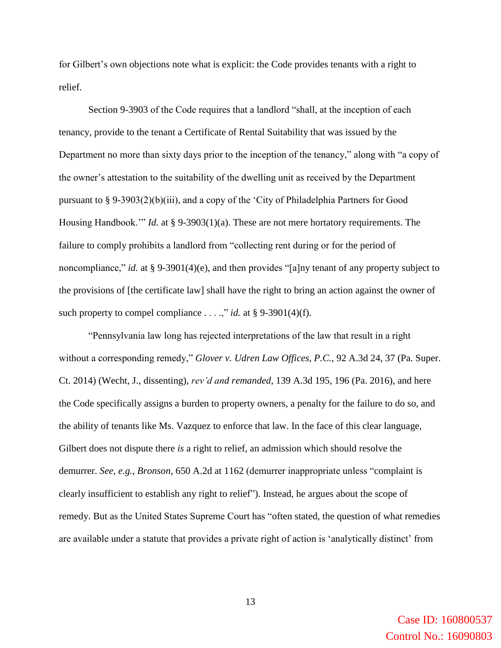for Gilbert's own objections note what is explicit: the Code provides tenants with a right to relief.

Section 9-3903 of the Code requires that a landlord "shall, at the inception of each tenancy, provide to the tenant a Certificate of Rental Suitability that was issued by the Department no more than sixty days prior to the inception of the tenancy," along with "a copy of the owner's attestation to the suitability of the dwelling unit as received by the Department pursuant to § 9-3903(2)(b)(iii), and a copy of the 'City of Philadelphia Partners for Good Housing Handbook.'" *Id.* at § 9-3903(1)(a). These are not mere hortatory requirements. The failure to comply prohibits a landlord from "collecting rent during or for the period of noncompliance," *id.* at § 9-3901(4)(e), and then provides "[a]ny tenant of any property subject to the provisions of [the certificate law] shall have the right to bring an action against the owner of such property to compel compliance . . . .," *id.* at § 9-3901(4)(f).

"Pennsylvania law long has rejected interpretations of the law that result in a right without a corresponding remedy," *Glover v. Udren Law Offices, P.C.*, 92 A.3d 24, 37 (Pa. Super. Ct. 2014) (Wecht, J., dissenting), *rev'd and remanded*, 139 A.3d 195, 196 (Pa. 2016), and here the Code specifically assigns a burden to property owners, a penalty for the failure to do so, and the ability of tenants like Ms. Vazquez to enforce that law. In the face of this clear language, Gilbert does not dispute there *is* a right to relief, an admission which should resolve the demurrer. *See, e.g.*, *Bronson*, 650 A.2d at 1162 (demurrer inappropriate unless "complaint is clearly insufficient to establish any right to relief"). Instead, he argues about the scope of remedy. But as the United States Supreme Court has "often stated, the question of what remedies are available under a statute that provides a private right of action is 'analytically distinct' from

> Case ID: 160800537 Control No.: 16090803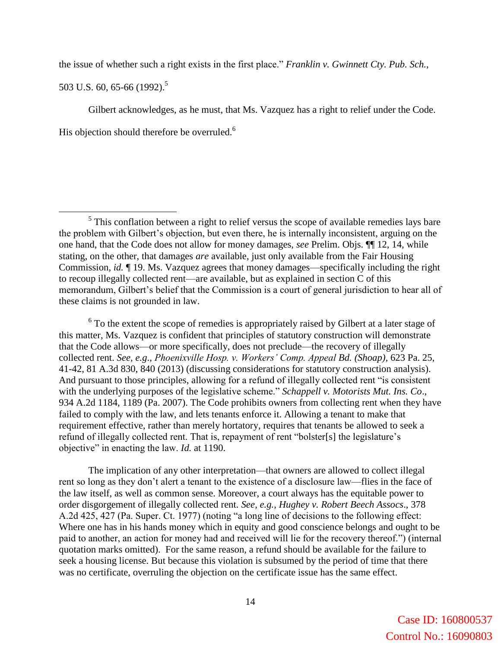the issue of whether such a right exists in the first place." *Franklin v. Gwinnett Cty. Pub. Sch.*,

503 U.S. 60, 65-66 (1992).<sup>5</sup>

Gilbert acknowledges, as he must, that Ms. Vazquez has a right to relief under the Code. His objection should therefore be overruled.<sup>6</sup>

 $6$  To the extent the scope of remedies is appropriately raised by Gilbert at a later stage of this matter, Ms. Vazquez is confident that principles of statutory construction will demonstrate that the Code allows—or more specifically, does not preclude—the recovery of illegally collected rent. *See, e.g*., *Phoenixville Hosp. v. Workers' Comp. Appeal Bd. (Shoap)*, 623 Pa. 25, 41-42, 81 A.3d 830, 840 (2013) (discussing considerations for statutory construction analysis). And pursuant to those principles, allowing for a refund of illegally collected rent "is consistent with the underlying purposes of the legislative scheme." *Schappell v. Motorists Mut. Ins. Co*., 934 A.2d 1184, 1189 (Pa. 2007). The Code prohibits owners from collecting rent when they have failed to comply with the law, and lets tenants enforce it. Allowing a tenant to make that requirement effective, rather than merely hortatory, requires that tenants be allowed to seek a refund of illegally collected rent. That is, repayment of rent "bolster[s] the legislature's objective" in enacting the law. *Id.* at 1190.

The implication of any other interpretation—that owners are allowed to collect illegal rent so long as they don't alert a tenant to the existence of a disclosure law—flies in the face of the law itself, as well as common sense. Moreover, a court always has the equitable power to order disgorgement of illegally collected rent. *See, e.g.*, *Hughey v. Robert Beech Assocs*., 378 A.2d 425, 427 (Pa. Super. Ct. 1977) (noting "a long line of decisions to the following effect: Where one has in his hands money which in equity and good conscience belongs and ought to be paid to another, an action for money had and received will lie for the recovery thereof.") (internal quotation marks omitted). For the same reason, a refund should be available for the failure to seek a housing license. But because this violation is subsumed by the period of time that there was no certificate, overruling the objection on the certificate issue has the same effect.

 $\overline{a}$  $<sup>5</sup>$  This conflation between a right to relief versus the scope of available remedies lays bare</sup> the problem with Gilbert's objection, but even there, he is internally inconsistent, arguing on the one hand, that the Code does not allow for money damages, *see* Prelim. Objs. ¶¶ 12, 14, while stating, on the other, that damages *are* available, just only available from the Fair Housing Commission, *id.* ¶ 19. Ms. Vazquez agrees that money damages—specifically including the right to recoup illegally collected rent—are available, but as explained in section C of this memorandum, Gilbert's belief that the Commission is a court of general jurisdiction to hear all of these claims is not grounded in law.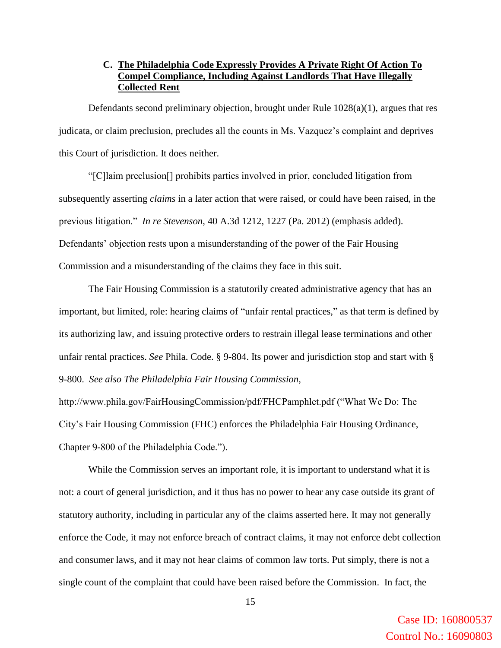# **C. The Philadelphia Code Expressly Provides A Private Right Of Action To Compel Compliance, Including Against Landlords That Have Illegally Collected Rent**

Defendants second preliminary objection, brought under Rule 1028(a)(1), argues that res judicata, or claim preclusion, precludes all the counts in Ms. Vazquez's complaint and deprives this Court of jurisdiction. It does neither.

"[C]laim preclusion[] prohibits parties involved in prior, concluded litigation from subsequently asserting *claims* in a later action that were raised, or could have been raised, in the previous litigation." *In re Stevenson*, 40 A.3d 1212, 1227 (Pa. 2012) (emphasis added). Defendants' objection rests upon a misunderstanding of the power of the Fair Housing Commission and a misunderstanding of the claims they face in this suit.

The Fair Housing Commission is a statutorily created administrative agency that has an important, but limited, role: hearing claims of "unfair rental practices," as that term is defined by its authorizing law, and issuing protective orders to restrain illegal lease terminations and other unfair rental practices. *See* Phila. Code. § 9-804. Its power and jurisdiction stop and start with § 9-800. *See also The Philadelphia Fair Housing Commission*,

http://www.phila.gov/FairHousingCommission/pdf/FHCPamphlet.pdf ("What We Do: The City's Fair Housing Commission (FHC) enforces the Philadelphia Fair Housing Ordinance, Chapter 9-800 of the Philadelphia Code.").

While the Commission serves an important role, it is important to understand what it is not: a court of general jurisdiction, and it thus has no power to hear any case outside its grant of statutory authority, including in particular any of the claims asserted here. It may not generally enforce the Code, it may not enforce breach of contract claims, it may not enforce debt collection and consumer laws, and it may not hear claims of common law torts. Put simply, there is not a single count of the complaint that could have been raised before the Commission. In fact, the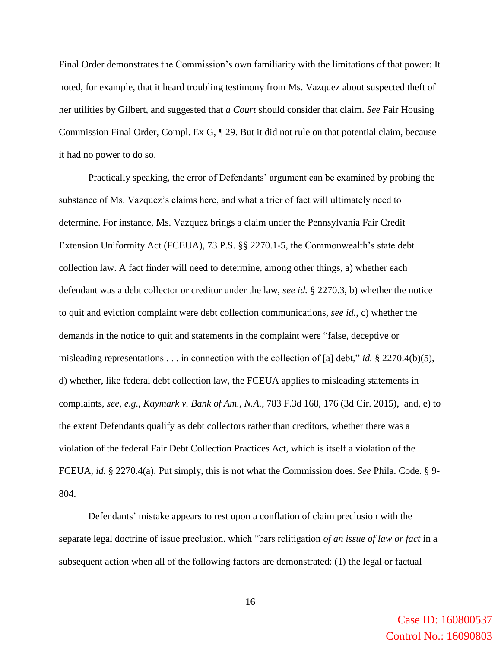Final Order demonstrates the Commission's own familiarity with the limitations of that power: It noted, for example, that it heard troubling testimony from Ms. Vazquez about suspected theft of her utilities by Gilbert, and suggested that *a Court* should consider that claim. *See* Fair Housing Commission Final Order, Compl. Ex G, ¶ 29. But it did not rule on that potential claim, because it had no power to do so.

Practically speaking, the error of Defendants' argument can be examined by probing the substance of Ms. Vazquez's claims here, and what a trier of fact will ultimately need to determine. For instance, Ms. Vazquez brings a claim under the Pennsylvania Fair Credit Extension Uniformity Act (FCEUA), 73 P.S. §§ 2270.1-5, the Commonwealth's state debt collection law. A fact finder will need to determine, among other things, a) whether each defendant was a debt collector or creditor under the law, *see id.* § 2270.3, b) whether the notice to quit and eviction complaint were debt collection communications, *see id.*, c) whether the demands in the notice to quit and statements in the complaint were "false, deceptive or misleading representations  $\dots$  in connection with the collection of [a] debt," *id.* § 2270.4(b)(5), d) whether, like federal debt collection law, the FCEUA applies to misleading statements in complaints, *see*, *e.g.*, *Kaymark v. Bank of Am., N.A.*, 783 F.3d 168, 176 (3d Cir. 2015), and, e) to the extent Defendants qualify as debt collectors rather than creditors, whether there was a violation of the federal Fair Debt Collection Practices Act, which is itself a violation of the FCEUA, *id.* § 2270.4(a). Put simply, this is not what the Commission does. *See* Phila. Code. § 9- 804.

Defendants' mistake appears to rest upon a conflation of claim preclusion with the separate legal doctrine of issue preclusion, which "bars relitigation *of an issue of law or fact* in a subsequent action when all of the following factors are demonstrated: (1) the legal or factual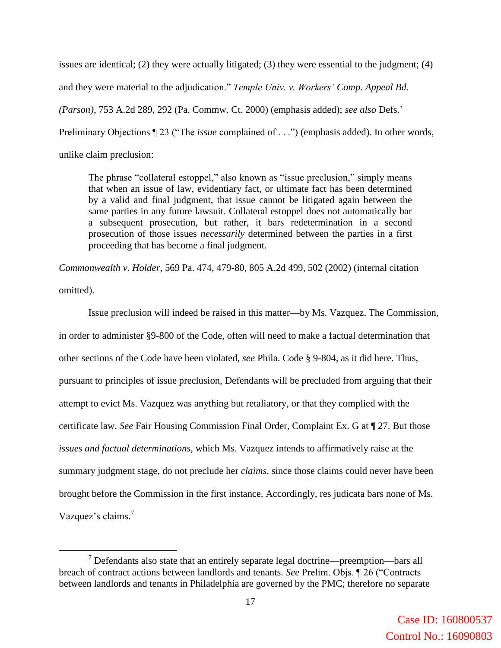issues are identical; (2) they were actually litigated; (3) they were essential to the judgment; (4) and they were material to the adjudication." *Temple Univ. v. Workers' Comp. Appeal Bd. (Parson)*, 753 A.2d 289, 292 (Pa. Commw. Ct. 2000) (emphasis added); *see also* Defs.' Preliminary Objections ¶ 23 ("The *issue* complained of . . .") (emphasis added). In other words, unlike claim preclusion:

The phrase "collateral estoppel," also known as "issue preclusion," simply means that when an issue of law, evidentiary fact, or ultimate fact has been determined by a valid and final judgment, that issue cannot be litigated again between the same parties in any future lawsuit. Collateral estoppel does not automatically bar a subsequent prosecution, but rather, it bars redetermination in a second prosecution of those issues *necessarily* determined between the parties in a first proceeding that has become a final judgment.

*Commonwealth v. Holder*, 569 Pa. 474, 479-80, 805 A.2d 499, 502 (2002) (internal citation omitted).

Issue preclusion will indeed be raised in this matter—by Ms. Vazquez. The Commission, in order to administer §9-800 of the Code, often will need to make a factual determination that other sections of the Code have been violated, *see* Phila. Code § 9-804, as it did here. Thus, pursuant to principles of issue preclusion, Defendants will be precluded from arguing that their attempt to evict Ms. Vazquez was anything but retaliatory, or that they complied with the certificate law. *See* Fair Housing Commission Final Order, Complaint Ex. G at ¶ 27. But those *issues and factual determinations*, which Ms. Vazquez intends to affirmatively raise at the summary judgment stage, do not preclude her *claims*, since those claims could never have been brought before the Commission in the first instance. Accordingly, res judicata bars none of Ms. Vazquez's claims.<sup>7</sup>

 $\overline{a}$ 

 $<sup>7</sup>$  Defendants also state that an entirely separate legal doctrine—preemption—bars all</sup> breach of contract actions between landlords and tenants. *See* Prelim. Objs. ¶ 26 ("Contracts between landlords and tenants in Philadelphia are governed by the PMC; therefore no separate